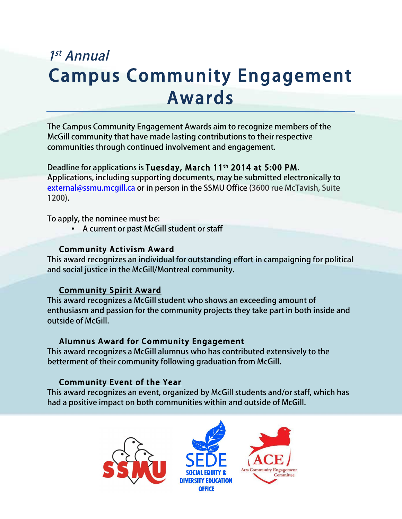# 1st Annual Campus Community Engagement Awards

The Campus Community Engagement Awards aim to recognize members of the McGill community that have made lasting contributions to their respective communities through continued involvement and engagement.

Deadline for applications is Tuesday, March 11th 2014 at 5:00 PM. Applications, including supporting documents, may be submitted electronically to external@ssmu.mcgill.ca or in person in the SSMU Office (3600 rue McTavish, Suite 1200).

To apply, the nominee must be:

• A current or past McGill student or staff

## Community Activism Award

This award recognizes an individual for outstanding effort in campaigning for political and social justice in the McGill/Montreal community.

# Community Spirit Award

This award recognizes a McGill student who shows an exceeding amount of enthusiasm and passion for the community projects they take part in both inside and outside of McGill.

# Alumnus Award for Community Engagement

This award recognizes a McGill alumnus who has contributed extensively to the betterment of their community following graduation from McGill.

# Community Event of the Year

This award recognizes an event, organized by McGill students and/or staff, which has had a positive impact on both communities within and outside of McGill.





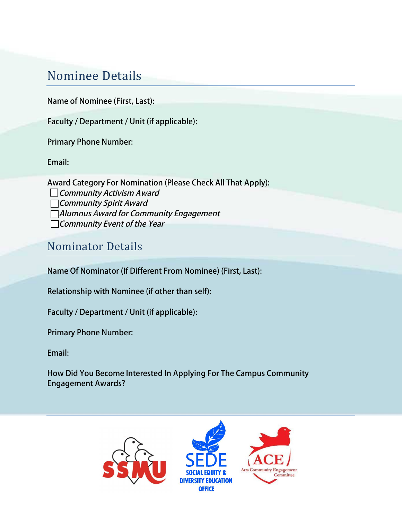# Nominee Details

Name of Nominee (First, Last):

Faculty / Department / Unit (if applicable):

Primary Phone Number:

Email:

Award Category For Nomination (Please Check All That Apply):  $\Box$  Community Activism Award Community Spirit Award Alumnus Award for Community Engagement Community Event of the Year

# Nominator Details

Name Of Nominator (If Different From Nominee) (First, Last):

Relationship with Nominee (if other than self):

Faculty / Department / Unit (if applicable):

Primary Phone Number:

Email:

How Did You Become Interested In Applying For The Campus Community Engagement Awards?

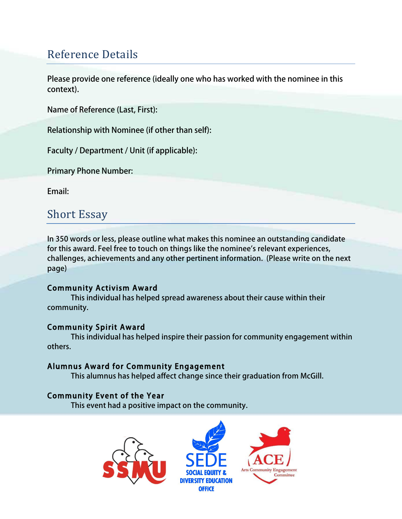# Reference Details

Please provide one reference (ideally one who has worked with the nominee in this context).

Name of Reference (Last, First):

Relationship with Nominee (if other than self):

Faculty / Department / Unit (if applicable):

Primary Phone Number:

Email:

# **Short Essay**

In 350 words or less, please outline what makes this nominee an outstanding candidate for this award. Feel free to touch on things like the nominee's relevant experiences, challenges, achievements and any other pertinent information. (Please write on the next page)

## Community Activism Award

 This individual has helped spread awareness about their cause within their community.

## Community Spirit Award

 This individual has helped inspire their passion for community engagement within others.

## Alumnus Award for Community Engagement

This alumnus has helped affect change since their graduation from McGill.

## Community Event of the Year

This event had a positive impact on the community.

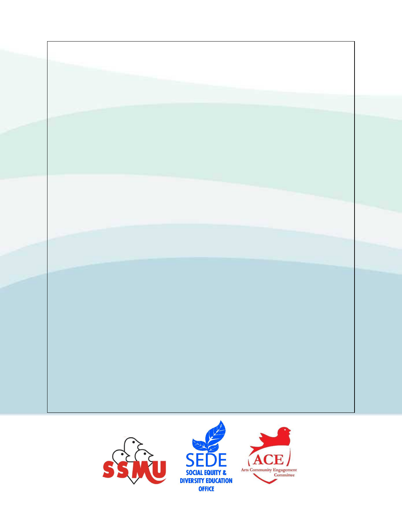